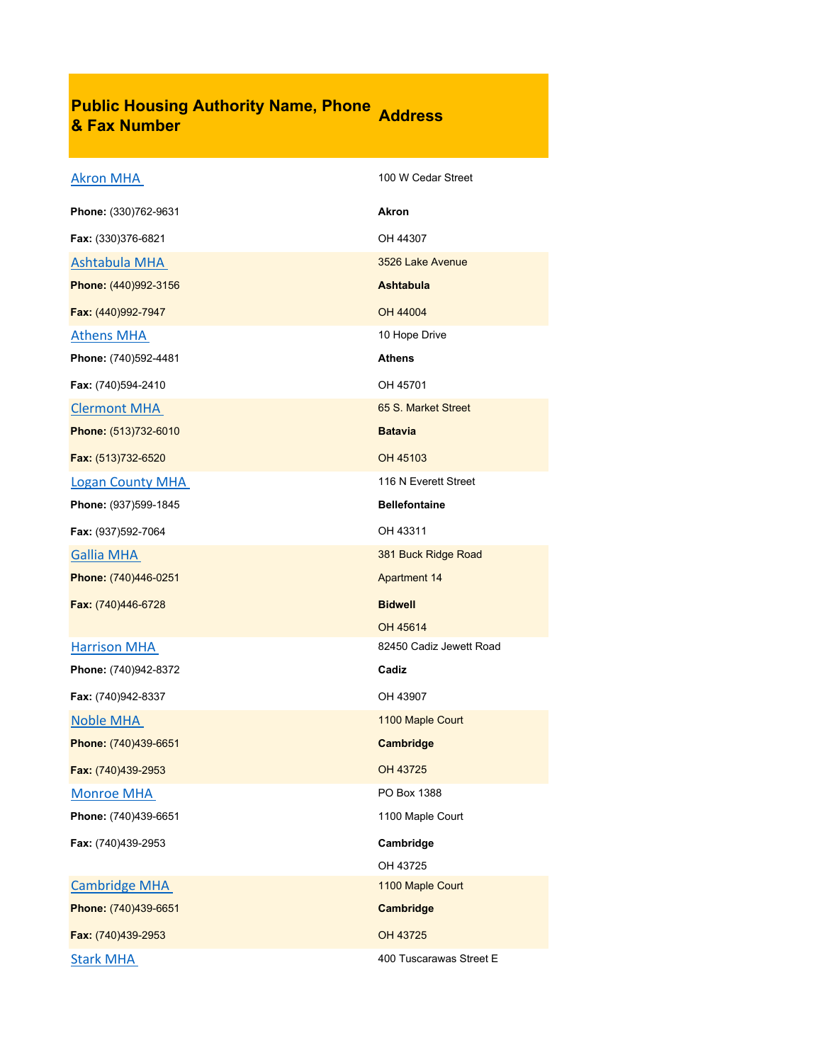## **Public Housing Authority Name, Phone & Fax Number Address**

| <b>Akron MHA</b>        | 100 W Cedar Street      |
|-------------------------|-------------------------|
| Phone: (330)762-9631    | <b>Akron</b>            |
| Fax: (330)376-6821      | OH 44307                |
| <b>Ashtabula MHA</b>    | 3526 Lake Avenue        |
| Phone: (440)992-3156    | Ashtabula               |
| Fax: (440)992-7947      | OH 44004                |
| <b>Athens MHA</b>       | 10 Hope Drive           |
| Phone: (740)592-4481    | Athens                  |
| Fax: (740)594-2410      | OH 45701                |
| <b>Clermont MHA</b>     | 65 S. Market Street     |
| Phone: (513)732-6010    | <b>Batavia</b>          |
| Fax: (513)732-6520      | OH 45103                |
| <b>Logan County MHA</b> | 116 N Everett Street    |
| Phone: (937)599-1845    | <b>Bellefontaine</b>    |
| Fax: (937)592-7064      | OH 43311                |
| <b>Gallia MHA</b>       | 381 Buck Ridge Road     |
| Phone: (740)446-0251    | <b>Apartment 14</b>     |
| Fax: (740)446-6728      | <b>Bidwell</b>          |
|                         | OH 45614                |
| <b>Harrison MHA</b>     | 82450 Cadiz Jewett Road |
| Phone: (740)942-8372    | Cadiz                   |
| Fax: (740)942-8337      | OH 43907                |
| Noble MHA               | 1100 Maple Court        |
| Phone: (740)439-6651    | Cambridge               |
| Fax: (740)439-2953      | OH 43725                |
| <b>Monroe MHA</b>       | PO Box 1388             |
| Phone: (740)439-6651    | 1100 Maple Court        |
| Fax: (740)439-2953      | Cambridge               |
|                         | OH 43725                |
| <b>Cambridge MHA</b>    | 1100 Maple Court        |
| Phone: (740)439-6651    | Cambridge               |
| Fax: (740)439-2953      | OH 43725                |
| <b>Stark MHA</b>        | 400 Tuscarawas Street E |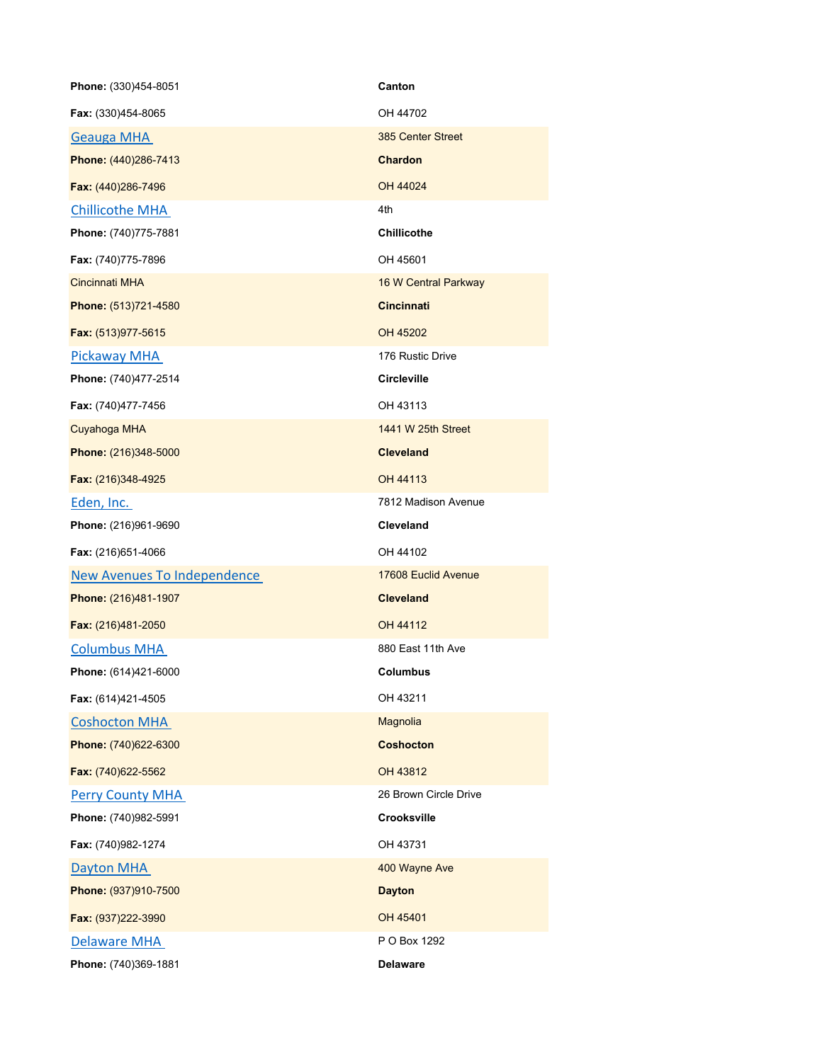| Phone: (330)454-8051        | Canton                |
|-----------------------------|-----------------------|
| Fax: (330)454-8065          | OH 44702              |
| <b>Geauga MHA</b>           | 385 Center Street     |
| Phone: (440)286-7413        | <b>Chardon</b>        |
| Fax: (440)286-7496          | OH 44024              |
| <b>Chillicothe MHA</b>      | 4th                   |
| Phone: (740)775-7881        | <b>Chillicothe</b>    |
| Fax: (740)775-7896          | OH 45601              |
| <b>Cincinnati MHA</b>       | 16 W Central Parkway  |
| Phone: (513)721-4580        | <b>Cincinnati</b>     |
| Fax: (513)977-5615          | OH 45202              |
| Pickaway MHA                | 176 Rustic Drive      |
| Phone: (740)477-2514        | <b>Circleville</b>    |
| Fax: (740)477-7456          | OH 43113              |
| Cuyahoga MHA                | 1441 W 25th Street    |
| Phone: (216)348-5000        | <b>Cleveland</b>      |
| Fax: (216)348-4925          | OH 44113              |
| Eden, Inc.                  | 7812 Madison Avenue   |
| Phone: (216)961-9690        | <b>Cleveland</b>      |
| Fax: (216)651-4066          | OH 44102              |
| New Avenues To Independence | 17608 Euclid Avenue   |
| Phone: (216)481-1907        | <b>Cleveland</b>      |
| Fax: (216)481-2050          | OH 44112              |
| <b>Columbus MHA</b>         | 880 East 11th Ave     |
| Phone: (614)421-6000        | <b>Columbus</b>       |
| Fax: (614)421-4505          | OH 43211              |
| <b>Coshocton MHA</b>        | Magnolia              |
| Phone: (740)622-6300        | <b>Coshocton</b>      |
| Fax: (740)622-5562          | OH 43812              |
| <b>Perry County MHA</b>     | 26 Brown Circle Drive |
| Phone: (740)982-5991        | Crooksville           |
| Fax: (740)982-1274          | OH 43731              |
| Dayton MHA                  | 400 Wayne Ave         |
| Phone: (937)910-7500        | <b>Dayton</b>         |
| Fax: (937)222-3990          | OH 45401              |
| <b>Delaware MHA</b>         | P O Box 1292          |
| Phone: (740)369-1881        | <b>Delaware</b>       |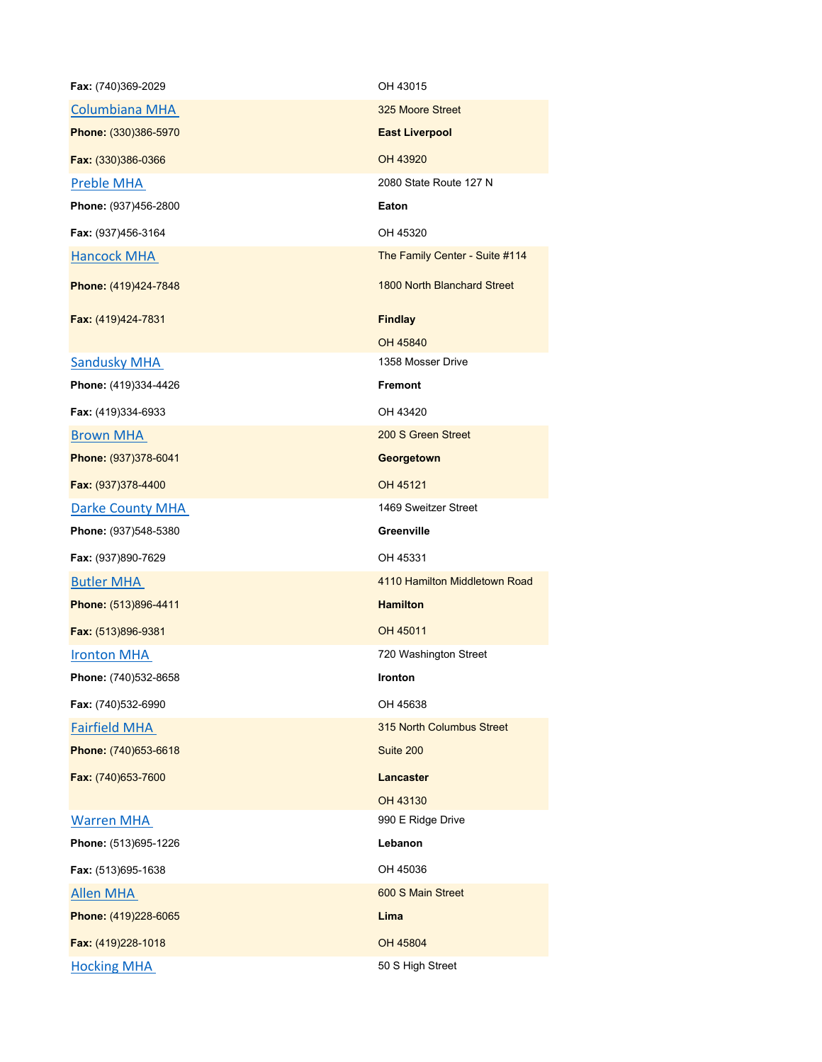| Fax: (740)369-2029   | OH 43015                           |
|----------------------|------------------------------------|
| Columbiana MHA       | 325 Moore Street                   |
| Phone: (330)386-5970 | <b>East Liverpool</b>              |
| Fax: (330)386-0366   | OH 43920                           |
| Preble MHA           | 2080 State Route 127 N             |
| Phone: (937)456-2800 | Eaton                              |
| Fax: (937)456-3164   | OH 45320                           |
| <b>Hancock MHA</b>   | The Family Center - Suite #114     |
| Phone: (419)424-7848 | <b>1800 North Blanchard Street</b> |
| Fax: (419)424-7831   | <b>Findlay</b>                     |
|                      | OH 45840                           |
| <b>Sandusky MHA</b>  | 1358 Mosser Drive                  |
| Phone: (419)334-4426 | <b>Fremont</b>                     |
| Fax: (419)334-6933   | OH 43420                           |
| <b>Brown MHA</b>     | 200 S Green Street                 |
| Phone: (937)378-6041 | Georgetown                         |
| Fax: (937)378-4400   | OH 45121                           |
| Darke County MHA     | 1469 Sweitzer Street               |
| Phone: (937)548-5380 | Greenville                         |
| Fax: (937)890-7629   | OH 45331                           |
| <b>Butler MHA</b>    | 4110 Hamilton Middletown Road      |
| Phone: (513)896-4411 | <b>Hamilton</b>                    |
| Fax: (513)896-9381   | OH 45011                           |
| <b>Ironton MHA</b>   | 720 Washington Street              |
| Phone: (740)532-8658 | <b>Ironton</b>                     |
| Fax: (740)532-6990   | OH 45638                           |
| <b>Fairfield MHA</b> | 315 North Columbus Street          |
| Phone: (740)653-6618 | Suite 200                          |
| Fax: (740)653-7600   | Lancaster                          |
|                      | OH 43130                           |
| <b>Warren MHA</b>    | 990 E Ridge Drive                  |
| Phone: (513)695-1226 | Lebanon                            |
| Fax: (513)695-1638   | OH 45036                           |
| <b>Allen MHA</b>     | 600 S Main Street                  |
| Phone: (419)228-6065 | Lima                               |
| Fax: (419)228-1018   | OH 45804                           |
| <b>Hocking MHA</b>   | 50 S High Street                   |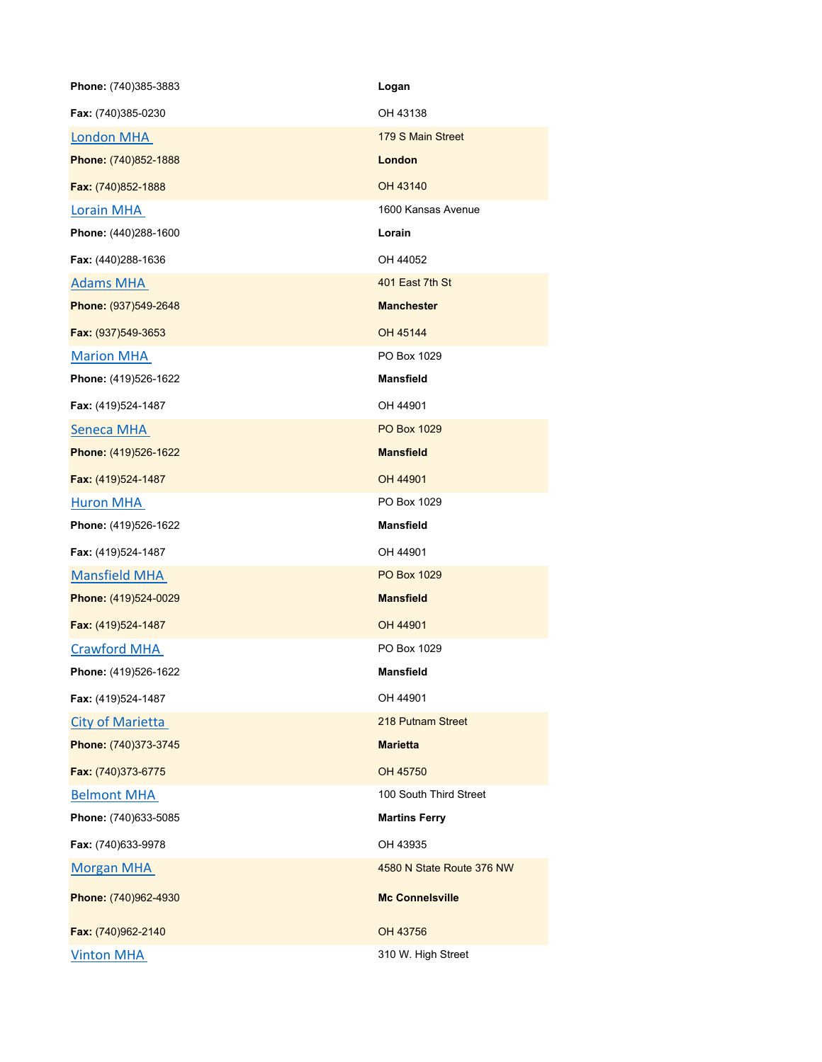| Phone: (740)385-3883    | Logan                     |
|-------------------------|---------------------------|
| Fax: (740)385-0230      | OH 43138                  |
| London MHA              | 179 S Main Street         |
| Phone: (740)852-1888    | London                    |
| Fax: (740)852-1888      | OH 43140                  |
| Lorain MHA              | 1600 Kansas Avenue        |
| Phone: (440)288-1600    | Lorain                    |
| Fax: (440)288-1636      | OH 44052                  |
| <b>Adams MHA</b>        | 401 East 7th St           |
| Phone: (937)549-2648    | <b>Manchester</b>         |
| Fax: (937)549-3653      | OH 45144                  |
| <b>Marion MHA</b>       | PO Box 1029               |
| Phone: (419)526-1622    | <b>Mansfield</b>          |
| Fax: (419)524-1487      | OH 44901                  |
| Seneca MHA              | <b>PO Box 1029</b>        |
| Phone: (419)526-1622    | <b>Mansfield</b>          |
| Fax: (419)524-1487      | OH 44901                  |
| <b>Huron MHA</b>        | PO Box 1029               |
| Phone: (419)526-1622    | <b>Mansfield</b>          |
| Fax: (419)524-1487      | OH 44901                  |
| <b>Mansfield MHA</b>    | <b>PO Box 1029</b>        |
| Phone: (419)524-0029    | <b>Mansfield</b>          |
| Fax: (419)524-1487      | OH 44901                  |
| <b>Crawford MHA</b>     | PO Box 1029               |
| Phone: (419)526-1622    | <b>Mansfield</b>          |
| Fax: (419)524-1487      | OH 44901                  |
| <b>City of Marietta</b> | 218 Putnam Street         |
| Phone: (740)373-3745    | <b>Marietta</b>           |
| Fax: (740)373-6775      | OH 45750                  |
| <b>Belmont MHA</b>      | 100 South Third Street    |
| Phone: (740)633-5085    | <b>Martins Ferry</b>      |
| Fax: (740)633-9978      | OH 43935                  |
| <b>Morgan MHA</b>       | 4580 N State Route 376 NW |
| Phone: (740)962-4930    | <b>Mc Connelsville</b>    |
| Fax: (740)962-2140      | OH 43756                  |
| <b>Vinton MHA</b>       | 310 W. High Street        |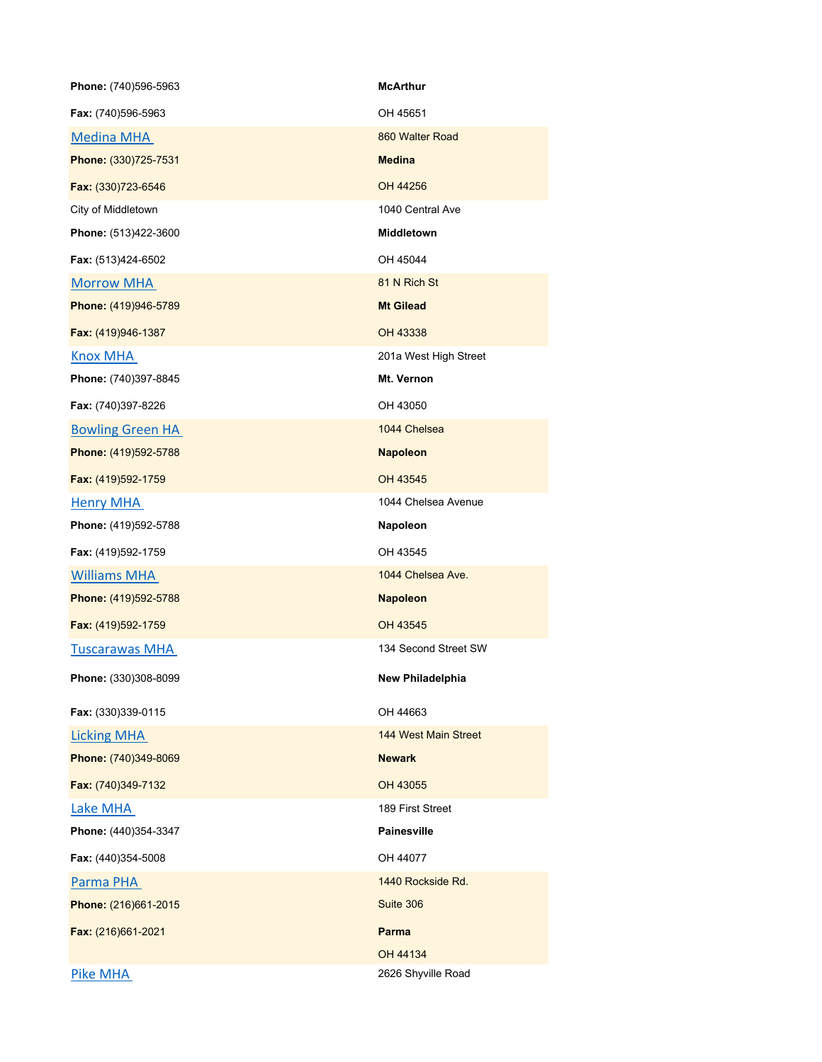| Phone: (740)596-5963    | <b>McArthur</b>             |
|-------------------------|-----------------------------|
| Fax: (740)596-5963      | OH 45651                    |
| <b>Medina MHA</b>       | 860 Walter Road             |
| Phone: (330)725-7531    | <b>Medina</b>               |
| Fax: (330)723-6546      | OH 44256                    |
| City of Middletown      | 1040 Central Ave            |
| Phone: (513)422-3600    | Middletown                  |
| Fax: (513)424-6502      | OH 45044                    |
| <b>Morrow MHA</b>       | 81 N Rich St                |
| Phone: (419)946-5789    | <b>Mt Gilead</b>            |
| Fax: (419)946-1387      | OH 43338                    |
| <b>Knox MHA</b>         | 201a West High Street       |
| Phone: (740)397-8845    | Mt. Vernon                  |
| Fax: (740)397-8226      | OH 43050                    |
| <b>Bowling Green HA</b> | 1044 Chelsea                |
| Phone: (419)592-5788    | <b>Napoleon</b>             |
| Fax: (419)592-1759      | OH 43545                    |
| <b>Henry MHA</b>        | 1044 Chelsea Avenue         |
| Phone: (419)592-5788    | Napoleon                    |
| Fax: (419)592-1759      | OH 43545                    |
| <b>Williams MHA</b>     | 1044 Chelsea Ave.           |
| Phone: (419)592-5788    | <b>Napoleon</b>             |
| Fax: (419)592-1759      | OH 43545                    |
| <b>Tuscarawas MHA</b>   | 134 Second Street SW        |
| Phone: (330)308-8099    | New Philadelphia            |
| Fax: (330)339-0115      | OH 44663                    |
| <b>Licking MHA</b>      | <b>144 West Main Street</b> |
| Phone: (740)349-8069    | <b>Newark</b>               |
| Fax: (740)349-7132      | OH 43055                    |
| Lake MHA                | 189 First Street            |
| Phone: (440)354-3347    | <b>Painesville</b>          |
| Fax: (440)354-5008      | OH 44077                    |
| Parma PHA               | 1440 Rockside Rd.           |
| Phone: (216)661-2015    | Suite 306                   |
| Fax: (216)661-2021      | Parma                       |
|                         | OH 44134                    |
| <b>Pike MHA</b>         | 2626 Shyville Road          |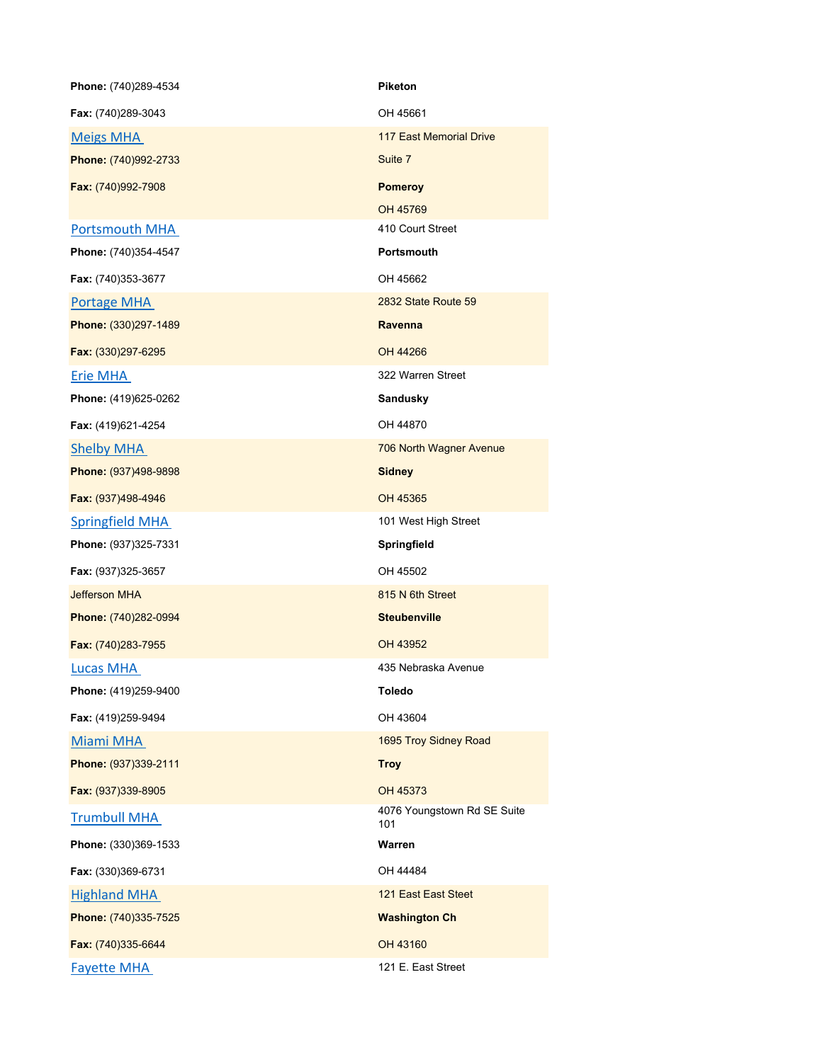| Phone: (740)289-4534   | <b>Piketon</b>                     |
|------------------------|------------------------------------|
| Fax: (740)289-3043     | OH 45661                           |
| <b>Meigs MHA</b>       | <b>117 East Memorial Drive</b>     |
| Phone: (740)992-2733   | Suite 7                            |
| Fax: (740)992-7908     | <b>Pomeroy</b>                     |
|                        | OH 45769                           |
| <b>Portsmouth MHA</b>  | 410 Court Street                   |
| Phone: (740)354-4547   | <b>Portsmouth</b>                  |
| Fax: (740)353-3677     | OH 45662                           |
| Portage MHA            | 2832 State Route 59                |
| Phone: (330)297-1489   | Ravenna                            |
| Fax: (330)297-6295     | OH 44266                           |
| <b>Erie MHA</b>        | 322 Warren Street                  |
| Phone: (419)625-0262   | <b>Sandusky</b>                    |
| Fax: (419)621-4254     | OH 44870                           |
| <b>Shelby MHA</b>      | 706 North Wagner Avenue            |
| Phone: (937)498-9898   | <b>Sidney</b>                      |
| Fax: (937)498-4946     | OH 45365                           |
| <b>Springfield MHA</b> | 101 West High Street               |
| Phone: (937)325-7331   | Springfield                        |
| Fax: (937)325-3657     | OH 45502                           |
| <b>Jefferson MHA</b>   | 815 N 6th Street                   |
| Phone: (740)282-0994   | <b>Steubenville</b>                |
| Fax: (740)283-7955     | OH 43952                           |
| <b>Lucas MHA</b>       | 435 Nebraska Avenue                |
| Phone: (419)259-9400   | <b>Toledo</b>                      |
| Fax: (419)259-9494     | OH 43604                           |
| Miami MHA              | 1695 Troy Sidney Road              |
| Phone: (937)339-2111   | <b>Troy</b>                        |
| Fax: (937)339-8905     | OH 45373                           |
| <b>Trumbull MHA</b>    | 4076 Youngstown Rd SE Suite<br>101 |
| Phone: (330)369-1533   | Warren                             |
| Fax: (330)369-6731     | OH 44484                           |
| <b>Highland MHA</b>    | 121 East East Steet                |
| Phone: (740)335-7525   | <b>Washington Ch</b>               |
| Fax: (740)335-6644     | OH 43160                           |
| <b>Fayette MHA</b>     | 121 E. East Street                 |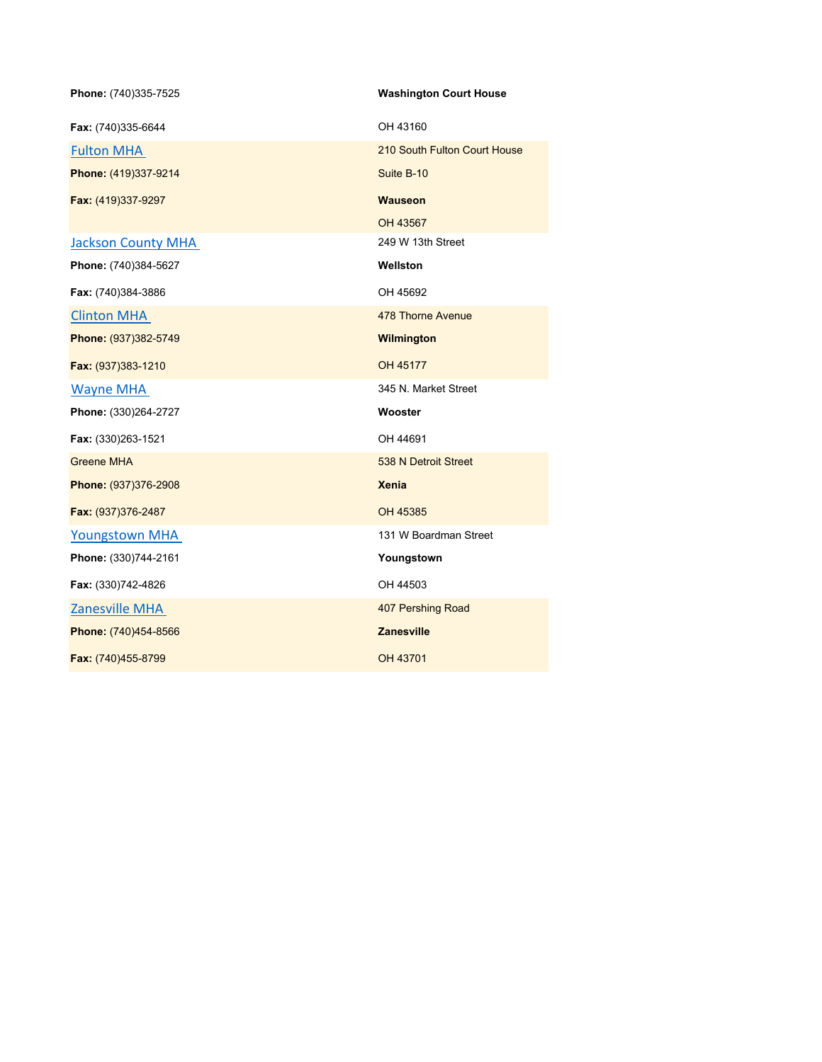| Phone: (740)335-7525      | <b>Washington Court House</b> |
|---------------------------|-------------------------------|
| Fax: (740)335-6644        | OH 43160                      |
| <b>Fulton MHA</b>         | 210 South Fulton Court House  |
| Phone: (419)337-9214      | Suite B-10                    |
| Fax: (419)337-9297        | <b>Wauseon</b>                |
|                           | OH 43567                      |
| <b>Jackson County MHA</b> | 249 W 13th Street             |
| Phone: (740)384-5627      | Wellston                      |
| Fax: (740)384-3886        | OH 45692                      |
| <b>Clinton MHA</b>        | 478 Thorne Avenue             |
| Phone: (937)382-5749      | Wilmington                    |
| Fax: (937)383-1210        | OH 45177                      |
| Wayne MHA                 | 345 N. Market Street          |
| Phone: (330)264-2727      | Wooster                       |
| Fax: (330)263-1521        | OH 44691                      |
| <b>Greene MHA</b>         | 538 N Detroit Street          |
| Phone: (937)376-2908      | <b>Xenia</b>                  |
| Fax: (937)376-2487        | OH 45385                      |
| <b>Youngstown MHA</b>     | 131 W Boardman Street         |
| Phone: (330)744-2161      | Youngstown                    |
| Fax: (330)742-4826        | OH 44503                      |
| Zanesville MHA            | 407 Pershing Road             |
| Phone: (740)454-8566      | <b>Zanesville</b>             |
| Fax: (740)455-8799        | OH 43701                      |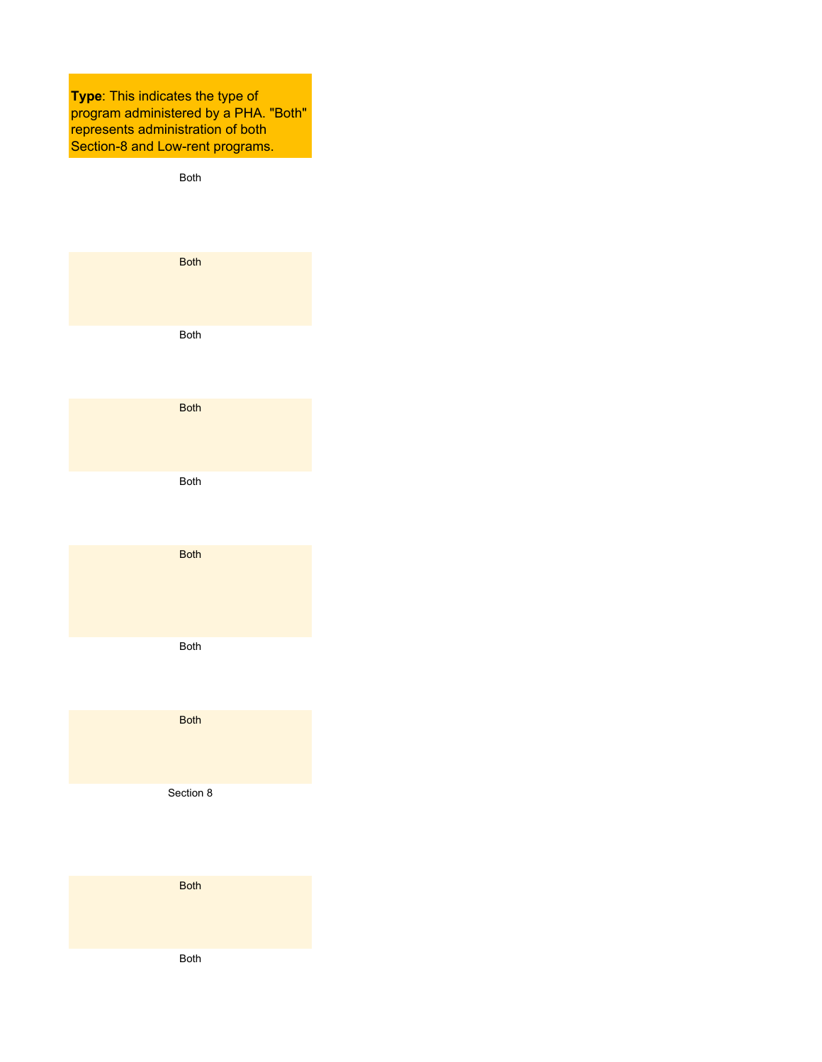**Type**: This indicates the type of program administered by a PHA. "Both" represents administration of both Section-8 and Low-rent programs.

Both Both Both Both Both Both Both Both Section 8 Both

Both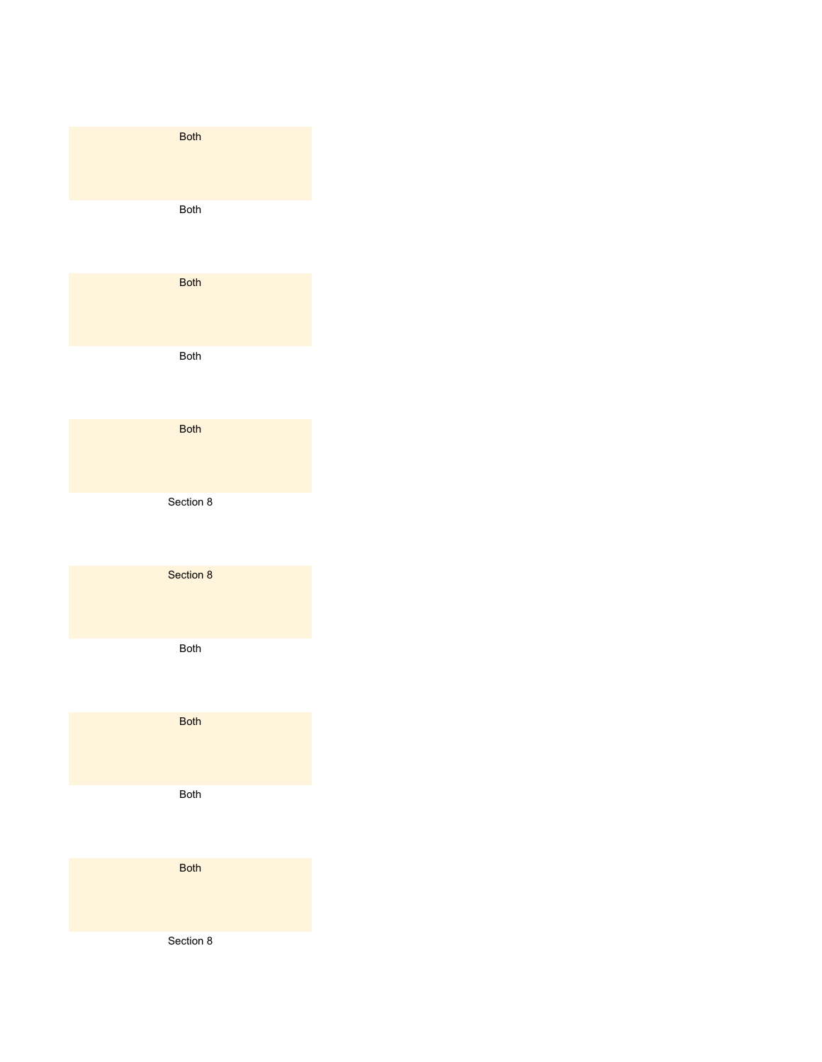| <b>Both</b> |  |
|-------------|--|
| <b>Both</b> |  |
| <b>Both</b> |  |
| <b>Both</b> |  |
| <b>Both</b> |  |
| Section 8   |  |
| Section 8   |  |
| <b>Both</b> |  |
| <b>Both</b> |  |
| <b>Both</b> |  |
| <b>Both</b> |  |
| Section 8   |  |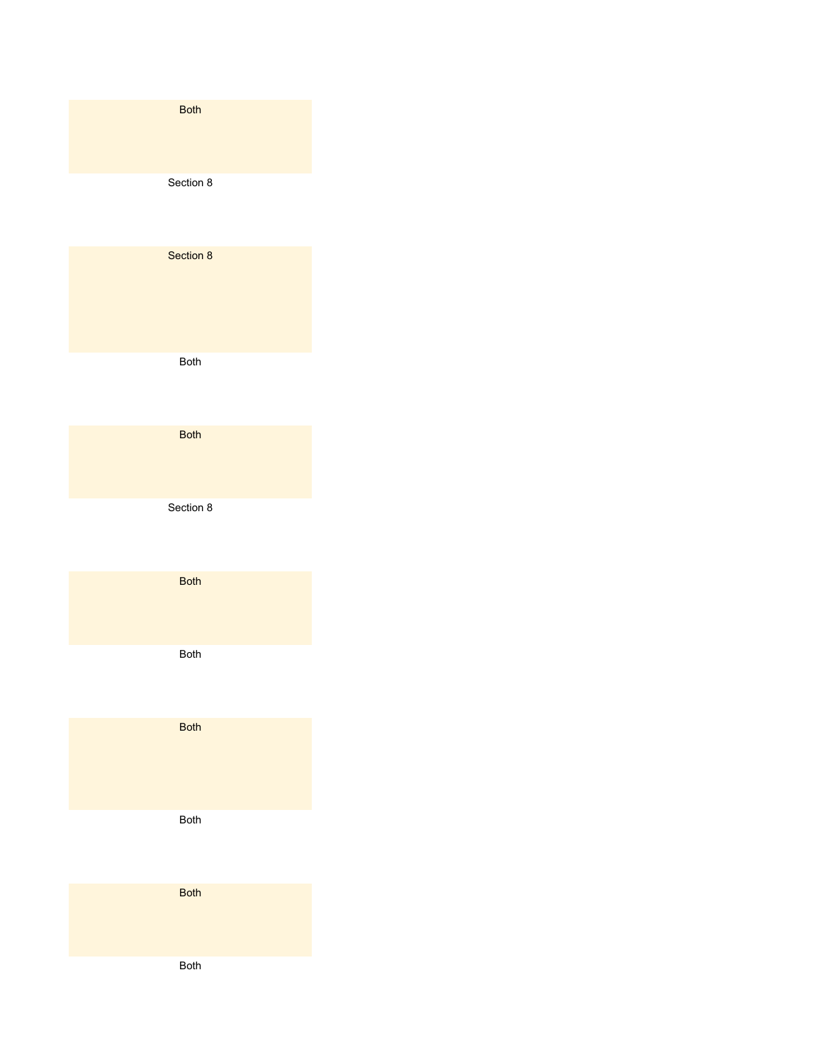| <b>Both</b> |
|-------------|
| Section 8   |
| Section 8   |
| Both        |
| <b>Both</b> |
| Section 8   |
| <b>Both</b> |
| <b>Both</b> |
| <b>Both</b> |
| Both        |
| <b>Both</b> |
| Both        |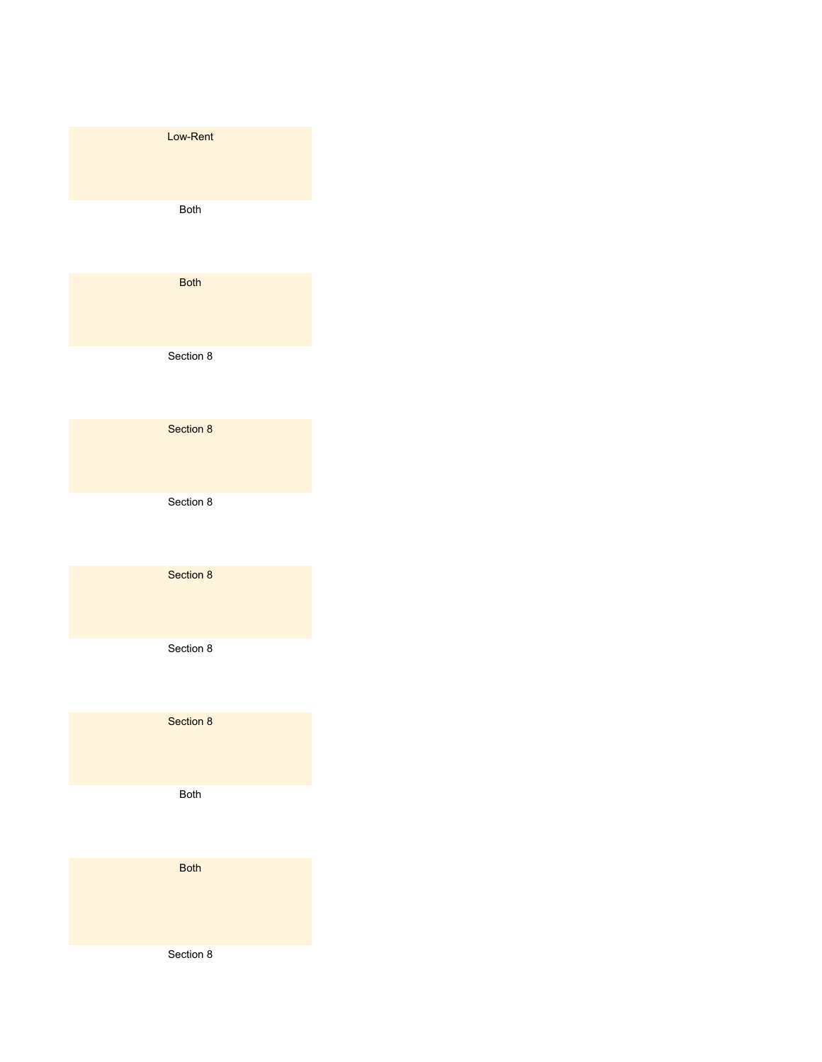| Low-Rent    |  |
|-------------|--|
| <b>Both</b> |  |
| <b>Both</b> |  |
| Section 8   |  |
| Section 8   |  |
| Section 8   |  |
| Section 8   |  |
| Section 8   |  |
| Section 8   |  |
| Both        |  |
| <b>Both</b> |  |
| Section 8   |  |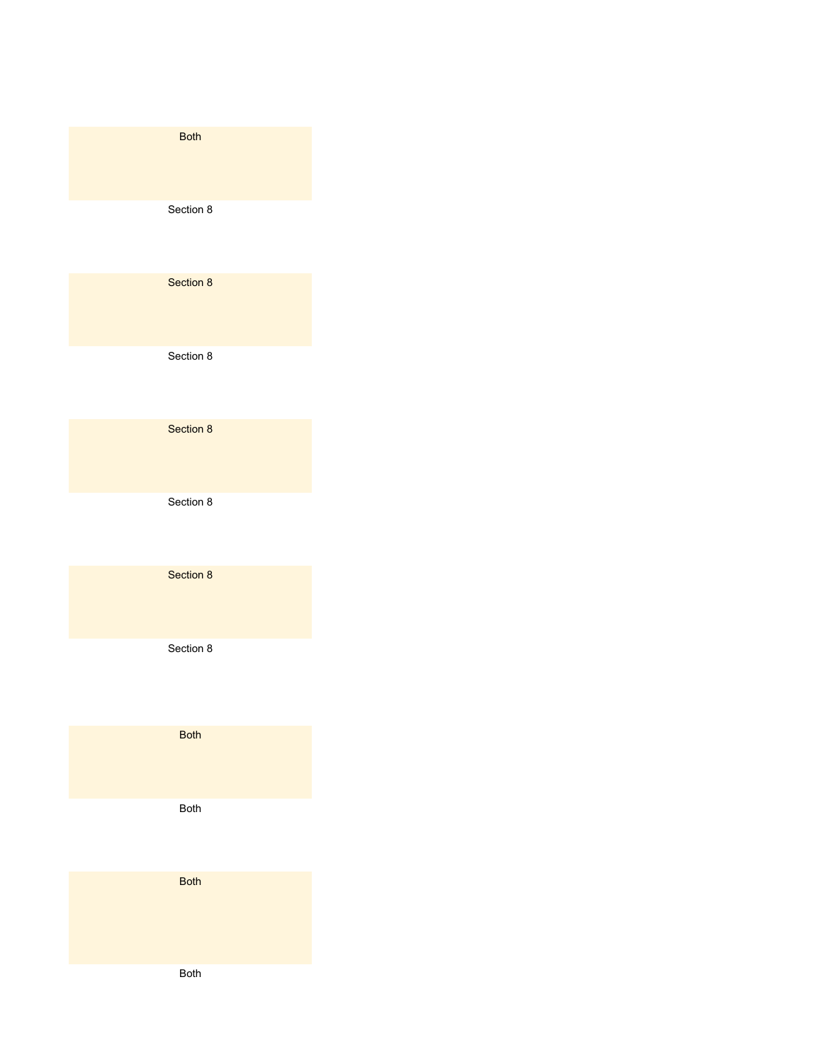| <b>Both</b> |
|-------------|
| Section 8   |
| Section 8   |
| Section 8   |
| Section 8   |
| Section 8   |
| Section 8   |
| Section 8   |
| <b>Both</b> |
| Both        |
| <b>Both</b> |

Both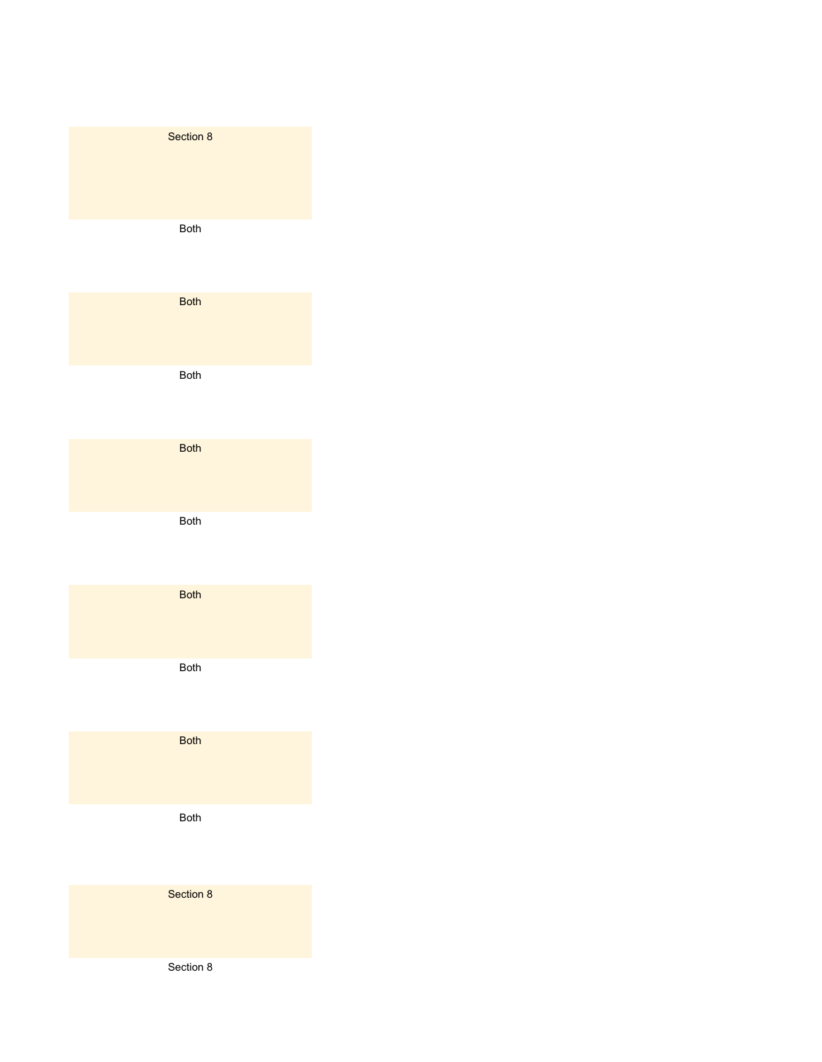| Section 8   |
|-------------|
| <b>Both</b> |
| <b>Both</b> |
| <b>Both</b> |
| <b>Both</b> |
| Both        |
| <b>Both</b> |
| Both        |
| <b>Both</b> |
| <b>Both</b> |
| Section 8   |
| Section 8   |